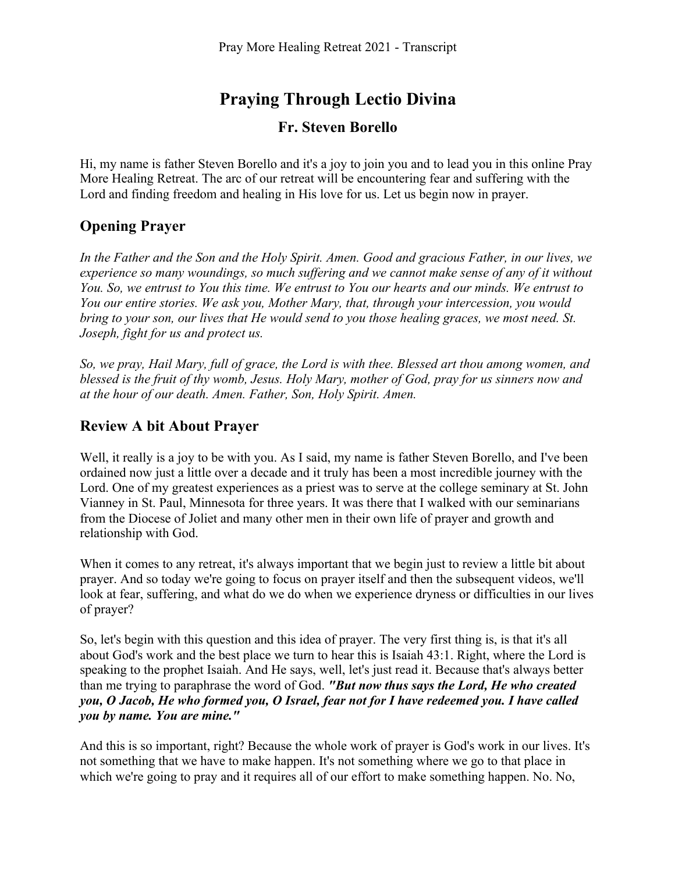# **Praying Through Lectio Divina**

#### **Fr. Steven Borello**

Hi, my name is father Steven Borello and it's a joy to join you and to lead you in this online Pray More Healing Retreat. The arc of our retreat will be encountering fear and suffering with the Lord and finding freedom and healing in His love for us. Let us begin now in prayer.

# **Opening Prayer**

*In the Father and the Son and the Holy Spirit. Amen. Good and gracious Father, in our lives, we experience so many woundings, so much suffering and we cannot make sense of any of it without You. So, we entrust to You this time. We entrust to You our hearts and our minds. We entrust to You our entire stories. We ask you, Mother Mary, that, through your intercession, you would bring to your son, our lives that He would send to you those healing graces, we most need. St. Joseph, fight for us and protect us.* 

*So, we pray, Hail Mary, full of grace, the Lord is with thee. Blessed art thou among women, and blessed is the fruit of thy womb, Jesus. Holy Mary, mother of God, pray for us sinners now and at the hour of our death. Amen. Father, Son, Holy Spirit. Amen.* 

## **Review A bit About Prayer**

Well, it really is a joy to be with you. As I said, my name is father Steven Borello, and I've been ordained now just a little over a decade and it truly has been a most incredible journey with the Lord. One of my greatest experiences as a priest was to serve at the college seminary at St. John Vianney in St. Paul, Minnesota for three years. It was there that I walked with our seminarians from the Diocese of Joliet and many other men in their own life of prayer and growth and relationship with God.

When it comes to any retreat, it's always important that we begin just to review a little bit about prayer. And so today we're going to focus on prayer itself and then the subsequent videos, we'll look at fear, suffering, and what do we do when we experience dryness or difficulties in our lives of prayer?

So, let's begin with this question and this idea of prayer. The very first thing is, is that it's all about God's work and the best place we turn to hear this is Isaiah 43:1. Right, where the Lord is speaking to the prophet Isaiah. And He says, well, let's just read it. Because that's always better than me trying to paraphrase the word of God. *"But now thus says the Lord, He who created you, O Jacob, He who formed you, O Israel, fear not for I have redeemed you. I have called you by name. You are mine."*

And this is so important, right? Because the whole work of prayer is God's work in our lives. It's not something that we have to make happen. It's not something where we go to that place in which we're going to pray and it requires all of our effort to make something happen. No. No,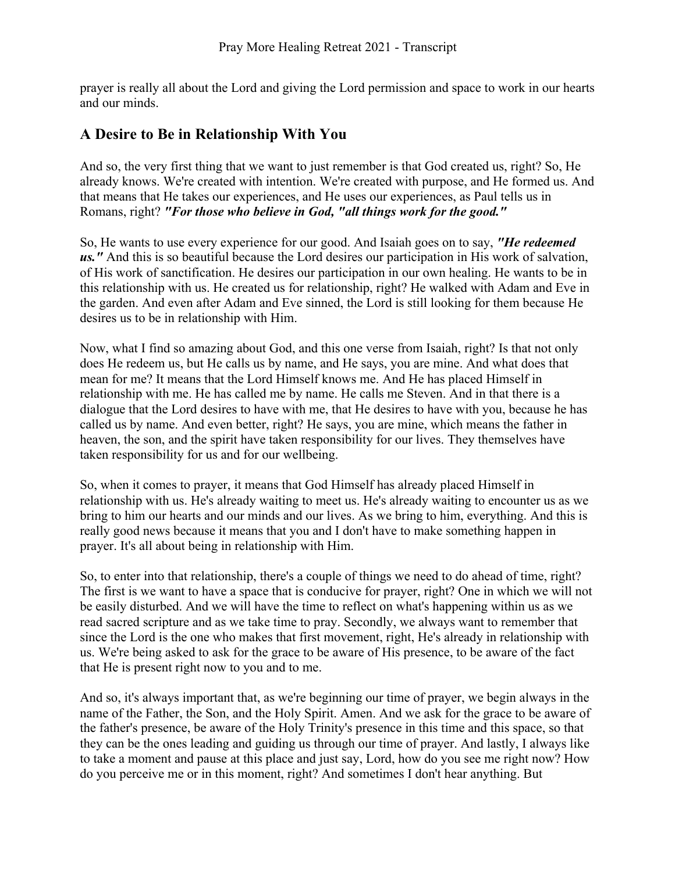prayer is really all about the Lord and giving the Lord permission and space to work in our hearts and our minds.

#### **A Desire to Be in Relationship With You**

And so, the very first thing that we want to just remember is that God created us, right? So, He already knows. We're created with intention. We're created with purpose, and He formed us. And that means that He takes our experiences, and He uses our experiences, as Paul tells us in Romans, right? *"For those who believe in God, "all things work for the good."* 

So, He wants to use every experience for our good. And Isaiah goes on to say, *"He redeemed us."* And this is so beautiful because the Lord desires our participation in His work of salvation, of His work of sanctification. He desires our participation in our own healing. He wants to be in this relationship with us. He created us for relationship, right? He walked with Adam and Eve in the garden. And even after Adam and Eve sinned, the Lord is still looking for them because He desires us to be in relationship with Him.

Now, what I find so amazing about God, and this one verse from Isaiah, right? Is that not only does He redeem us, but He calls us by name, and He says, you are mine. And what does that mean for me? It means that the Lord Himself knows me. And He has placed Himself in relationship with me. He has called me by name. He calls me Steven. And in that there is a dialogue that the Lord desires to have with me, that He desires to have with you, because he has called us by name. And even better, right? He says, you are mine, which means the father in heaven, the son, and the spirit have taken responsibility for our lives. They themselves have taken responsibility for us and for our wellbeing.

So, when it comes to prayer, it means that God Himself has already placed Himself in relationship with us. He's already waiting to meet us. He's already waiting to encounter us as we bring to him our hearts and our minds and our lives. As we bring to him, everything. And this is really good news because it means that you and I don't have to make something happen in prayer. It's all about being in relationship with Him.

So, to enter into that relationship, there's a couple of things we need to do ahead of time, right? The first is we want to have a space that is conducive for prayer, right? One in which we will not be easily disturbed. And we will have the time to reflect on what's happening within us as we read sacred scripture and as we take time to pray. Secondly, we always want to remember that since the Lord is the one who makes that first movement, right, He's already in relationship with us. We're being asked to ask for the grace to be aware of His presence, to be aware of the fact that He is present right now to you and to me.

And so, it's always important that, as we're beginning our time of prayer, we begin always in the name of the Father, the Son, and the Holy Spirit. Amen. And we ask for the grace to be aware of the father's presence, be aware of the Holy Trinity's presence in this time and this space, so that they can be the ones leading and guiding us through our time of prayer. And lastly, I always like to take a moment and pause at this place and just say, Lord, how do you see me right now? How do you perceive me or in this moment, right? And sometimes I don't hear anything. But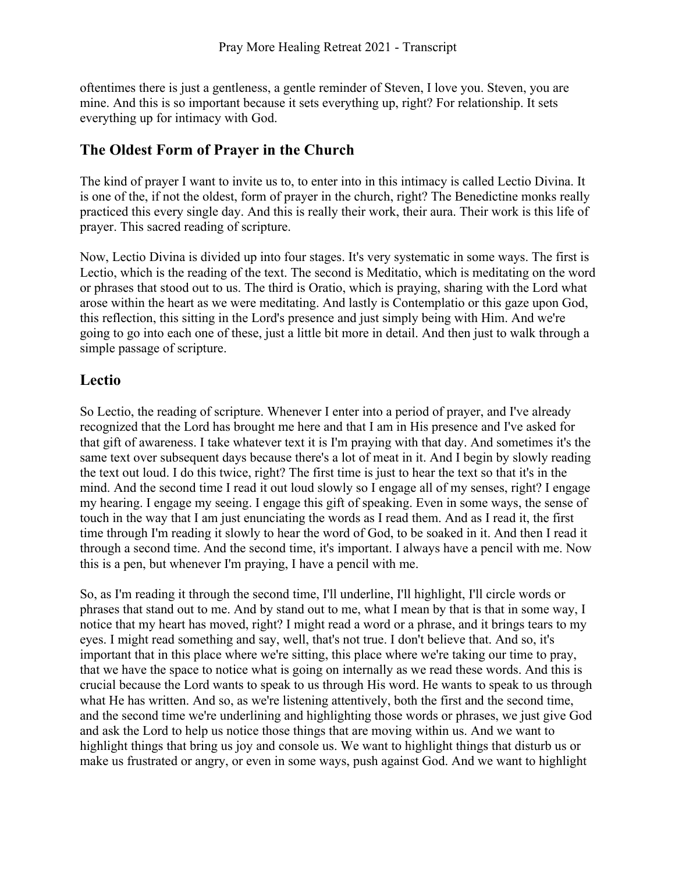oftentimes there is just a gentleness, a gentle reminder of Steven, I love you. Steven, you are mine. And this is so important because it sets everything up, right? For relationship. It sets everything up for intimacy with God.

## **The Oldest Form of Prayer in the Church**

The kind of prayer I want to invite us to, to enter into in this intimacy is called Lectio Divina. It is one of the, if not the oldest, form of prayer in the church, right? The Benedictine monks really practiced this every single day. And this is really their work, their aura. Their work is this life of prayer. This sacred reading of scripture.

Now, Lectio Divina is divided up into four stages. It's very systematic in some ways. The first is Lectio, which is the reading of the text. The second is Meditatio, which is meditating on the word or phrases that stood out to us. The third is Oratio, which is praying, sharing with the Lord what arose within the heart as we were meditating. And lastly is Contemplatio or this gaze upon God, this reflection, this sitting in the Lord's presence and just simply being with Him. And we're going to go into each one of these, just a little bit more in detail. And then just to walk through a simple passage of scripture.

## **Lectio**

So Lectio, the reading of scripture. Whenever I enter into a period of prayer, and I've already recognized that the Lord has brought me here and that I am in His presence and I've asked for that gift of awareness. I take whatever text it is I'm praying with that day. And sometimes it's the same text over subsequent days because there's a lot of meat in it. And I begin by slowly reading the text out loud. I do this twice, right? The first time is just to hear the text so that it's in the mind. And the second time I read it out loud slowly so I engage all of my senses, right? I engage my hearing. I engage my seeing. I engage this gift of speaking. Even in some ways, the sense of touch in the way that I am just enunciating the words as I read them. And as I read it, the first time through I'm reading it slowly to hear the word of God, to be soaked in it. And then I read it through a second time. And the second time, it's important. I always have a pencil with me. Now this is a pen, but whenever I'm praying, I have a pencil with me.

So, as I'm reading it through the second time, I'll underline, I'll highlight, I'll circle words or phrases that stand out to me. And by stand out to me, what I mean by that is that in some way, I notice that my heart has moved, right? I might read a word or a phrase, and it brings tears to my eyes. I might read something and say, well, that's not true. I don't believe that. And so, it's important that in this place where we're sitting, this place where we're taking our time to pray, that we have the space to notice what is going on internally as we read these words. And this is crucial because the Lord wants to speak to us through His word. He wants to speak to us through what He has written. And so, as we're listening attentively, both the first and the second time, and the second time we're underlining and highlighting those words or phrases, we just give God and ask the Lord to help us notice those things that are moving within us. And we want to highlight things that bring us joy and console us. We want to highlight things that disturb us or make us frustrated or angry, or even in some ways, push against God. And we want to highlight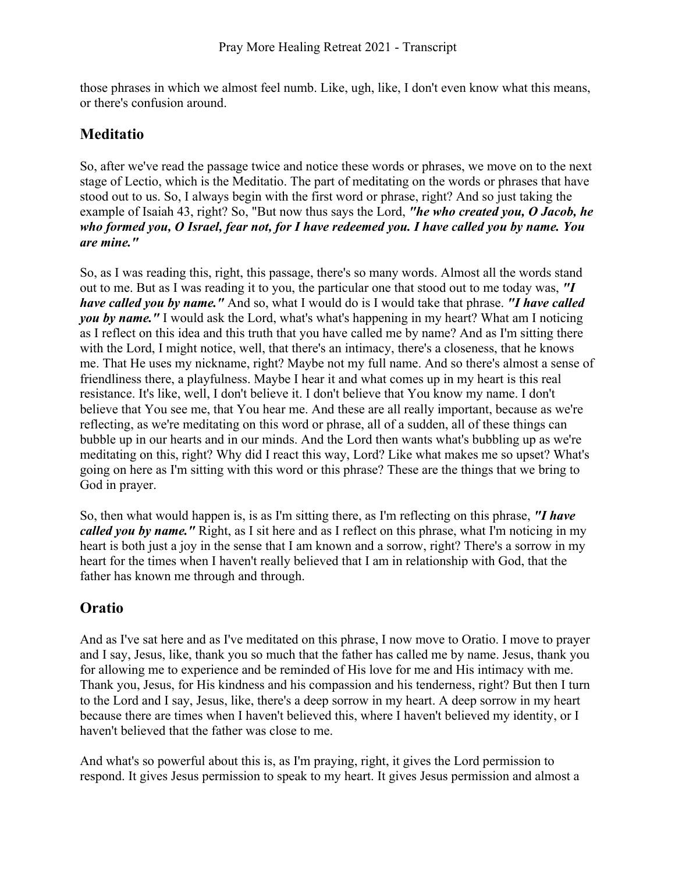those phrases in which we almost feel numb. Like, ugh, like, I don't even know what this means, or there's confusion around.

## **Meditatio**

So, after we've read the passage twice and notice these words or phrases, we move on to the next stage of Lectio, which is the Meditatio. The part of meditating on the words or phrases that have stood out to us. So, I always begin with the first word or phrase, right? And so just taking the example of Isaiah 43, right? So, "But now thus says the Lord, *"he who created you, O Jacob, he who formed you, O Israel, fear not, for I have redeemed you. I have called you by name. You are mine."* 

So, as I was reading this, right, this passage, there's so many words. Almost all the words stand out to me. But as I was reading it to you, the particular one that stood out to me today was, *"I have called you by name."* And so, what I would do is I would take that phrase. *"I have called you by name."* I would ask the Lord, what's what's happening in my heart? What am I noticing as I reflect on this idea and this truth that you have called me by name? And as I'm sitting there with the Lord, I might notice, well, that there's an intimacy, there's a closeness, that he knows me. That He uses my nickname, right? Maybe not my full name. And so there's almost a sense of friendliness there, a playfulness. Maybe I hear it and what comes up in my heart is this real resistance. It's like, well, I don't believe it. I don't believe that You know my name. I don't believe that You see me, that You hear me. And these are all really important, because as we're reflecting, as we're meditating on this word or phrase, all of a sudden, all of these things can bubble up in our hearts and in our minds. And the Lord then wants what's bubbling up as we're meditating on this, right? Why did I react this way, Lord? Like what makes me so upset? What's going on here as I'm sitting with this word or this phrase? These are the things that we bring to God in prayer.

So, then what would happen is, is as I'm sitting there, as I'm reflecting on this phrase, *"I have called you by name.*" Right, as I sit here and as I reflect on this phrase, what I'm noticing in my heart is both just a joy in the sense that I am known and a sorrow, right? There's a sorrow in my heart for the times when I haven't really believed that I am in relationship with God, that the father has known me through and through.

## **Oratio**

And as I've sat here and as I've meditated on this phrase, I now move to Oratio. I move to prayer and I say, Jesus, like, thank you so much that the father has called me by name. Jesus, thank you for allowing me to experience and be reminded of His love for me and His intimacy with me. Thank you, Jesus, for His kindness and his compassion and his tenderness, right? But then I turn to the Lord and I say, Jesus, like, there's a deep sorrow in my heart. A deep sorrow in my heart because there are times when I haven't believed this, where I haven't believed my identity, or I haven't believed that the father was close to me.

And what's so powerful about this is, as I'm praying, right, it gives the Lord permission to respond. It gives Jesus permission to speak to my heart. It gives Jesus permission and almost a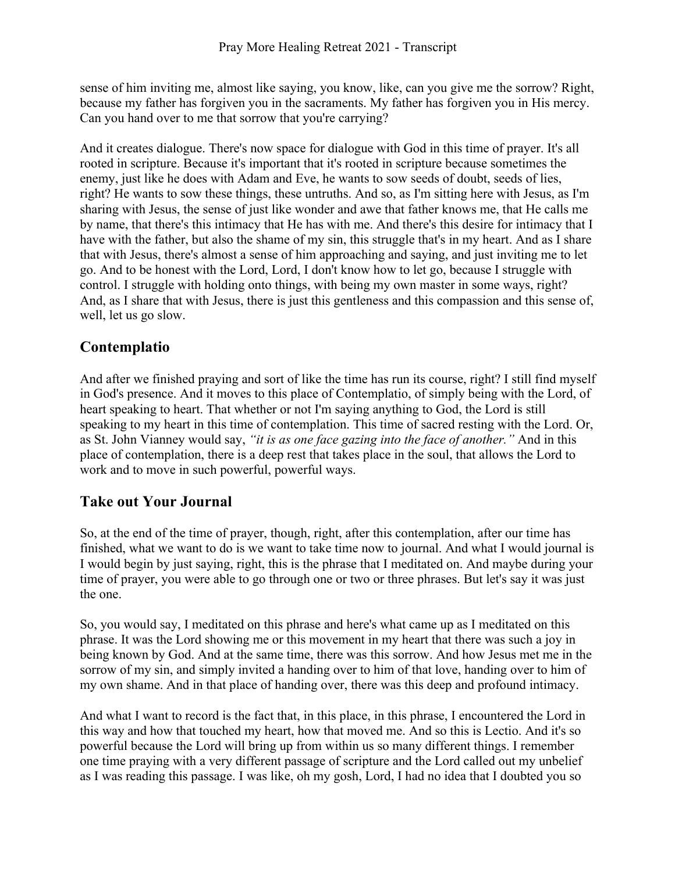sense of him inviting me, almost like saying, you know, like, can you give me the sorrow? Right, because my father has forgiven you in the sacraments. My father has forgiven you in His mercy. Can you hand over to me that sorrow that you're carrying?

And it creates dialogue. There's now space for dialogue with God in this time of prayer. It's all rooted in scripture. Because it's important that it's rooted in scripture because sometimes the enemy, just like he does with Adam and Eve, he wants to sow seeds of doubt, seeds of lies, right? He wants to sow these things, these untruths. And so, as I'm sitting here with Jesus, as I'm sharing with Jesus, the sense of just like wonder and awe that father knows me, that He calls me by name, that there's this intimacy that He has with me. And there's this desire for intimacy that I have with the father, but also the shame of my sin, this struggle that's in my heart. And as I share that with Jesus, there's almost a sense of him approaching and saying, and just inviting me to let go. And to be honest with the Lord, Lord, I don't know how to let go, because I struggle with control. I struggle with holding onto things, with being my own master in some ways, right? And, as I share that with Jesus, there is just this gentleness and this compassion and this sense of, well, let us go slow.

## **Contemplatio**

And after we finished praying and sort of like the time has run its course, right? I still find myself in God's presence. And it moves to this place of Contemplatio, of simply being with the Lord, of heart speaking to heart. That whether or not I'm saying anything to God, the Lord is still speaking to my heart in this time of contemplation. This time of sacred resting with the Lord. Or, as St. John Vianney would say, *"it is as one face gazing into the face of another."* And in this place of contemplation, there is a deep rest that takes place in the soul, that allows the Lord to work and to move in such powerful, powerful ways.

## **Take out Your Journal**

So, at the end of the time of prayer, though, right, after this contemplation, after our time has finished, what we want to do is we want to take time now to journal. And what I would journal is I would begin by just saying, right, this is the phrase that I meditated on. And maybe during your time of prayer, you were able to go through one or two or three phrases. But let's say it was just the one.

So, you would say, I meditated on this phrase and here's what came up as I meditated on this phrase. It was the Lord showing me or this movement in my heart that there was such a joy in being known by God. And at the same time, there was this sorrow. And how Jesus met me in the sorrow of my sin, and simply invited a handing over to him of that love, handing over to him of my own shame. And in that place of handing over, there was this deep and profound intimacy.

And what I want to record is the fact that, in this place, in this phrase, I encountered the Lord in this way and how that touched my heart, how that moved me. And so this is Lectio. And it's so powerful because the Lord will bring up from within us so many different things. I remember one time praying with a very different passage of scripture and the Lord called out my unbelief as I was reading this passage. I was like, oh my gosh, Lord, I had no idea that I doubted you so